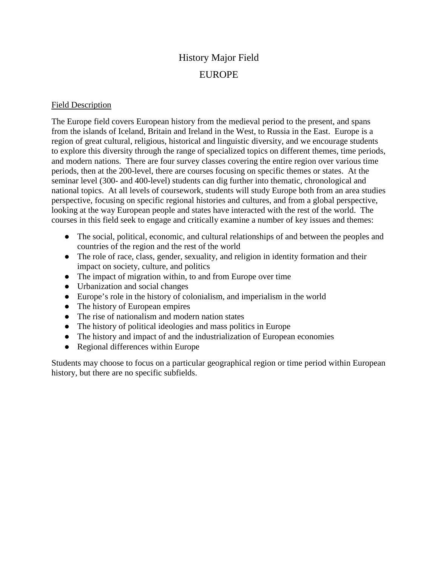## History Major Field EUROPE

## Field Description

The Europe field covers European history from the medieval period to the present, and spans from the islands of Iceland, Britain and Ireland in the West, to Russia in the East. Europe is a region of great cultural, religious, historical and linguistic diversity, and we encourage students to explore this diversity through the range of specialized topics on different themes, time periods, and modern nations. There are four survey classes covering the entire region over various time periods, then at the 200-level, there are courses focusing on specific themes or states. At the seminar level (300- and 400-level) students can dig further into thematic, chronological and national topics. At all levels of coursework, students will study Europe both from an area studies perspective, focusing on specific regional histories and cultures, and from a global perspective, looking at the way European people and states have interacted with the rest of the world. The courses in this field seek to engage and critically examine a number of key issues and themes:

- The social, political, economic, and cultural relationships of and between the peoples and countries of the region and the rest of the world
- The role of race, class, gender, sexuality, and religion in identity formation and their impact on society, culture, and politics
- The impact of migration within, to and from Europe over time
- Urbanization and social changes
- Europe's role in the history of colonialism, and imperialism in the world
- The history of European empires
- The rise of nationalism and modern nation states
- The history of political ideologies and mass politics in Europe
- The history and impact of and the industrialization of European economies
- Regional differences within Europe

Students may choose to focus on a particular geographical region or time period within European history, but there are no specific subfields.